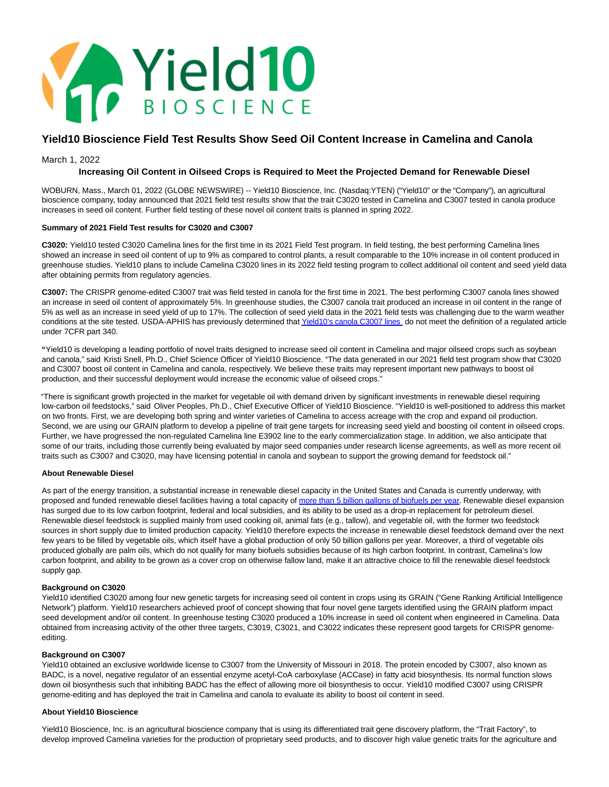

# **Yield10 Bioscience Field Test Results Show Seed Oil Content Increase in Camelina and Canola**

## March 1, 2022

## **Increasing Oil Content in Oilseed Crops is Required to Meet the Projected Demand for Renewable Diesel**

WOBURN, Mass., March 01, 2022 (GLOBE NEWSWIRE) -- Yield10 Bioscience, Inc. (Nasdaq:YTEN) ("Yield10" or the "Company"), an agricultural bioscience company, today announced that 2021 field test results show that the trait C3020 tested in Camelina and C3007 tested in canola produce increases in seed oil content. Further field testing of these novel oil content traits is planned in spring 2022.

#### **Summary of 2021 Field Test results for C3020 and C3007**

**C3020:** Yield10 tested C3020 Camelina lines for the first time in its 2021 Field Test program. In field testing, the best performing Camelina lines showed an increase in seed oil content of up to 9% as compared to control plants, a result comparable to the 10% increase in oil content produced in greenhouse studies. Yield10 plans to include Camelina C3020 lines in its 2022 field testing program to collect additional oil content and seed yield data after obtaining permits from regulatory agencies.

**C3007:** The CRISPR genome-edited C3007 trait was field tested in canola for the first time in 2021. The best performing C3007 canola lines showed an increase in seed oil content of approximately 5%. In greenhouse studies, the C3007 canola trait produced an increase in oil content in the range of 5% as well as an increase in seed yield of up to 17%. The collection of seed yield data in the 2021 field tests was challenging due to the warm weather conditions at the site tested. USDA-APHIS has previously determined tha[t Yield10's canola C3007 lines d](https://www.globenewswire.com/Tracker?data=UDiGorOGNiYDjEPj0x6EBFl-Dfnc9Blhc0mDN-peHVFjwc-7k7ksT-VDge7zKfBmFHoFa80yD2QM2L0VyC-KVSkDKi3CoRRDQHS3lIzx9LphZwZIqBD2IxB6zPtV1UmBfRpfQVk-TFJKJJnFnTW_fCC9CdLjGu1tDk-z0T9XjfdVzmBHdTiYQwfU0Ly3yjtPAzGk3J2XftvjO1-FYkKk5eIzsnPK0YHAYEtYgoOjNpY=)o not meet the definition of a regulated article under 7CFR part 340.

**"**Yield10 is developing a leading portfolio of novel traits designed to increase seed oil content in Camelina and major oilseed crops such as soybean and canola," said Kristi Snell, Ph.D., Chief Science Officer of Yield10 Bioscience. "The data generated in our 2021 field test program show that C3020 and C3007 boost oil content in Camelina and canola, respectively. We believe these traits may represent important new pathways to boost oil production, and their successful deployment would increase the economic value of oilseed crops."

"There is significant growth projected in the market for vegetable oil with demand driven by significant investments in renewable diesel requiring low-carbon oil feedstocks," said Oliver Peoples, Ph.D., Chief Executive Officer of Yield10 Bioscience. "Yield10 is well-positioned to address this market on two fronts. First, we are developing both spring and winter varieties of Camelina to access acreage with the crop and expand oil production. Second, we are using our GRAIN platform to develop a pipeline of trait gene targets for increasing seed yield and boosting oil content in oilseed crops. Further, we have progressed the non-regulated Camelina line E3902 line to the early commercialization stage. In addition, we also anticipate that some of our traits, including those currently being evaluated by major seed companies under research license agreements, as well as more recent oil traits such as C3007 and C3020, may have licensing potential in canola and soybean to support the growing demand for feedstock oil."

#### **About Renewable Diesel**

As part of the energy transition, a substantial increase in renewable diesel capacity in the United States and Canada is currently underway, with proposed and funded renewable diesel facilities having a total capacity of [more than 5 billion gallons of biofuels per year.](https://www.globenewswire.com/Tracker?data=mFUA-xYaG3Xr5VeCXG-yP6XU0GwASf4gx5ZJG_1iQN66MsnaRCnBlAuxFGsRidpgNi1fEalcTMz3UugLuz0OWmzlmnMWjySqVKa15EC9Zf_Y9RoTljwCAABX4XtGVFKzx_aalGa8VeMnBKfIL5yLNCwC7JDngUedJOPCjwsdOFX5Y5fwS9PB8zQ3uEHNxKe_lnKla0XyuI3yp3b_Ov5rrw==) Renewable diesel expansion has surged due to its low carbon footprint, federal and local subsidies, and its ability to be used as a drop-in replacement for petroleum diesel. Renewable diesel feedstock is supplied mainly from used cooking oil, animal fats (e.g., tallow), and vegetable oil, with the former two feedstock sources in short supply due to limited production capacity. Yield10 therefore expects the increase in renewable diesel feedstock demand over the next few years to be filled by vegetable oils, which itself have a global production of only 50 billion gallons per year. Moreover, a third of vegetable oils produced globally are palm oils, which do not qualify for many biofuels subsidies because of its high carbon footprint. In contrast, Camelina's low carbon footprint, and ability to be grown as a cover crop on otherwise fallow land, make it an attractive choice to fill the renewable diesel feedstock supply gap.

#### **Background on C3020**

Yield10 identified C3020 among four new genetic targets for increasing seed oil content in crops using its GRAIN ("Gene Ranking Artificial Intelligence Network") platform. Yield10 researchers achieved proof of concept showing that four novel gene targets identified using the GRAIN platform impact seed development and/or oil content. In greenhouse testing C3020 produced a 10% increase in seed oil content when engineered in Camelina. Data obtained from increasing activity of the other three targets, C3019, C3021, and C3022 indicates these represent good targets for CRISPR genomeediting.

#### **Background on C3007**

Yield10 obtained an exclusive worldwide license to C3007 from the University of Missouri in 2018. The protein encoded by C3007, also known as BADC, is a novel, negative regulator of an essential enzyme acetyl-CoA carboxylase (ACCase) in fatty acid biosynthesis. Its normal function slows down oil biosynthesis such that inhibiting BADC has the effect of allowing more oil biosynthesis to occur. Yield10 modified C3007 using CRISPR genome-editing and has deployed the trait in Camelina and canola to evaluate its ability to boost oil content in seed.

## **About Yield10 Bioscience**

Yield10 Bioscience, Inc. is an agricultural bioscience company that is using its differentiated trait gene discovery platform, the "Trait Factory", to develop improved Camelina varieties for the production of proprietary seed products, and to discover high value genetic traits for the agriculture and